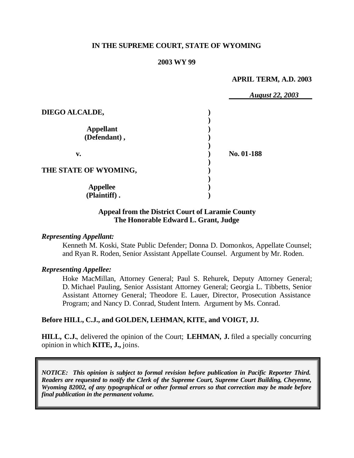#### **IN THE SUPREME COURT, STATE OF WYOMING**

#### **2003 WY 99**

#### **APRIL TERM, A.D. 2003**

|                                  | <b>August 22, 2003</b> |
|----------------------------------|------------------------|
| DIEGO ALCALDE,                   |                        |
| <b>Appellant</b><br>(Defendant), |                        |
| v.                               | No. 01-188             |
| THE STATE OF WYOMING,            |                        |
| <b>Appellee</b><br>(Plaintiff).  |                        |

#### **Appeal from the District Court of Laramie County The Honorable Edward L. Grant, Judge**

#### *Representing Appellant:*

Kenneth M. Koski, State Public Defender; Donna D. Domonkos, Appellate Counsel; and Ryan R. Roden, Senior Assistant Appellate Counsel. Argument by Mr. Roden.

#### *Representing Appellee:*

Hoke MacMillan, Attorney General; Paul S. Rehurek, Deputy Attorney General; D. Michael Pauling, Senior Assistant Attorney General; Georgia L. Tibbetts, Senior Assistant Attorney General; Theodore E. Lauer, Director, Prosecution Assistance Program; and Nancy D. Conrad, Student Intern. Argument by Ms. Conrad.

#### **Before HILL, C.J., and GOLDEN, LEHMAN, KITE, and VOIGT, JJ.**

**HILL, C.J.**, delivered the opinion of the Court; **LEHMAN, J.** filed a specially concurring opinion in which **KITE, J.,** joins.

*NOTICE: This opinion is subject to formal revision before publication in Pacific Reporter Third. Readers are requested to notify the Clerk of the Supreme Court, Supreme Court Building, Cheyenne, Wyoming 82002, of any typographical or other formal errors so that correction may be made before final publication in the permanent volume.*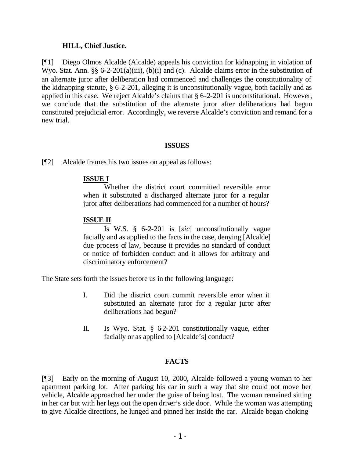#### **HILL, Chief Justice.**

[¶1] Diego Olmos Alcalde (Alcalde) appeals his conviction for kidnapping in violation of Wyo. Stat. Ann. §§ 6-2-201(a)(iii), (b)(i) and (c). Alcalde claims error in the substitution of an alternate juror after deliberation had commenced and challenges the constitutionality of the kidnapping statute, § 6-2-201, alleging it is unconstitutionally vague, both facially and as applied in this case. We reject Alcalde's claims that § 6-2-201 is unconstitutional. However, we conclude that the substitution of the alternate juror after deliberations had begun constituted prejudicial error. Accordingly, we reverse Alcalde's conviction and remand for a new trial.

#### **ISSUES**

[¶2] Alcalde frames his two issues on appeal as follows:

## **ISSUE I**

Whether the district court committed reversible error when it substituted a discharged alternate juror for a regular juror after deliberations had commenced for a number of hours?

## **ISSUE II**

Is W.S. § 6-2-201 is [*sic*] unconstitutionally vague facially and as applied to the facts in the case, denying [Alcalde] due process of law, because it provides no standard of conduct or notice of forbidden conduct and it allows for arbitrary and discriminatory enforcement?

The State sets forth the issues before us in the following language:

- I. Did the district court commit reversible error when it substituted an alternate juror for a regular juror after deliberations had begun?
- II. Is Wyo. Stat. § 62-201 constitutionally vague, either facially or as applied to [Alcalde's] conduct?

## **FACTS**

[¶3] Early on the morning of August 10, 2000, Alcalde followed a young woman to her apartment parking lot. After parking his car in such a way that she could not move her vehicle, Alcalde approached her under the guise of being lost. The woman remained sitting in her car but with her legs out the open driver's side door. While the woman was attempting to give Alcalde directions, he lunged and pinned her inside the car. Alcalde began choking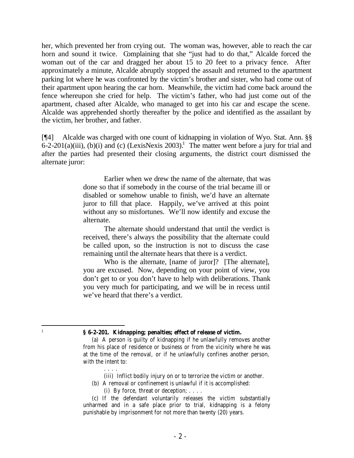her, which prevented her from crying out. The woman was, however, able to reach the car horn and sound it twice. Complaining that she "just had to do that," Alcalde forced the woman out of the car and dragged her about 15 to 20 feet to a privacy fence. After approximately a minute, Alcalde abruptly stopped the assault and returned to the apartment parking lot where he was confronted by the victim's brother and sister, who had come out of their apartment upon hearing the car horn. Meanwhile, the victim had come back around the fence whereupon she cried for help. The victim's father, who had just come out of the apartment, chased after Alcalde, who managed to get into his car and escape the scene. Alcalde was apprehended shortly thereafter by the police and identified as the assailant by the victim, her brother, and father.

[¶4] Alcalde was charged with one count of kidnapping in violation of Wyo. Stat. Ann. §§  $6-2-201(a)(iii)$ , (b)(i) and (c) (LexisNexis 2003).<sup>1</sup> The matter went before a jury for trial and after the parties had presented their closing arguments, the district court dismissed the alternate juror:

> Earlier when we drew the name of the alternate, that was done so that if somebody in the course of the trial became ill or disabled or somehow unable to finish, we'd have an alternate juror to fill that place. Happily, we've arrived at this point without any so misfortunes. We'll now identify and excuse the alternate.

> The alternate should understand that until the verdict is received, there's always the possibility that the alternate could be called upon, so the instruction is not to discuss the case remaining until the alternate hears that there is a verdict.

> Who is the alternate, [name of juror]? [The alternate], you are excused. Now, depending on your point of view, you don't get to or you don't have to help with deliberations. Thank you very much for participating, and we will be in recess until we've heard that there's a verdict.

(iii) Inflict bodily injury on or to terrorize the victim or another.

- (b) A removal or confinement is unlawful if it is accomplished:
	- (i) By force, threat or deception;  $\dots$ .

. . . .

 1

 **<sup>§ 6-2-201.</sup> Kidnapping; penalties; effect of release of victim.**

 <sup>(</sup>a) A person is guilty of kidnapping if he unlawfully removes another from his place of residence or business or from the vicinity where he was at the time of the removal, or if he unlawfully confines another person, with the intent to:

 <sup>(</sup>c) If the defendant voluntarily releases the victim substantially unharmed and in a safe place prior to trial, kidnapping is a felony punishable by imprisonment for not more than twenty (20) years.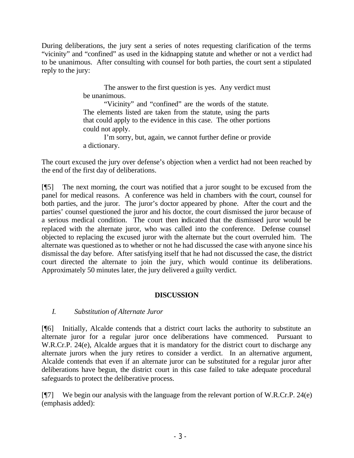During deliberations, the jury sent a series of notes requesting clarification of the terms "vicinity" and "confined" as used in the kidnapping statute and whether or not a verdict had to be unanimous. After consulting with counsel for both parties, the court sent a stipulated reply to the jury:

> The answer to the first question is yes. Any verdict must be unanimous.

> "Vicinity" and "confined" are the words of the statute. The elements listed are taken from the statute, using the parts that could apply to the evidence in this case. The other portions could not apply.

> I'm sorry, but, again, we cannot further define or provide a dictionary.

The court excused the jury over defense's objection when a verdict had not been reached by the end of the first day of deliberations.

[¶5] The next morning, the court was notified that a juror sought to be excused from the panel for medical reasons. A conference was held in chambers with the court, counsel for both parties, and the juror. The juror's doctor appeared by phone. After the court and the parties' counsel questioned the juror and his doctor, the court dismissed the juror because of a serious medical condition. The court then indicated that the dismissed juror would be replaced with the alternate juror, who was called into the conference. Defense counsel objected to replacing the excused juror with the alternate but the court overruled him. The alternate was questioned as to whether or not he had discussed the case with anyone since his dismissal the day before. After satisfying itself that he had not discussed the case, the district court directed the alternate to join the jury, which would continue its deliberations. Approximately 50 minutes later, the jury delivered a guilty verdict.

## **DISCUSSION**

## *I. Substitution of Alternate Juror*

[¶6] Initially, Alcalde contends that a district court lacks the authority to substitute an alternate juror for a regular juror once deliberations have commenced. Pursuant to W.R.Cr.P. 24(e), Alcalde argues that it is mandatory for the district court to discharge any alternate jurors when the jury retires to consider a verdict. In an alternative argument, Alcalde contends that even if an alternate juror can be substituted for a regular juror after deliberations have begun, the district court in this case failed to take adequate procedural safeguards to protect the deliberative process.

 $[$ [[7] We begin our analysis with the language from the relevant portion of W.R.Cr.P. 24(e) (emphasis added):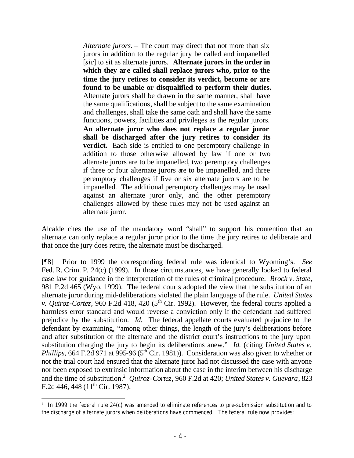*Alternate jurors.* – The court may direct that not more than six jurors in addition to the regular jury be called and impanelled [*sic*] to sit as alternate jurors. **Alternate jurors in the order in which they are called shall replace jurors who, prior to the time the jury retires to consider its verdict, become or are found to be unable or disqualified to perform their duties.** Alternate jurors shall be drawn in the same manner, shall have the same qualifications, shall be subject to the same examination and challenges, shall take the same oath and shall have the same functions, powers, facilities and privileges as the regular jurors. **An alternate juror who does not replace a regular juror shall be discharged after the jury retires to consider its verdict.** Each side is entitled to one peremptory challenge in addition to those otherwise allowed by law if one or two alternate jurors are to be impanelled, two peremptory challenges if three or four alternate jurors are to be impanelled, and three peremptory challenges if five or six alternate jurors are to be impanelled. The additional peremptory challenges may be used against an alternate juror only, and the other peremptory challenges allowed by these rules may not be used against an alternate juror.

Alcalde cites the use of the mandatory word "shall" to support his contention that an alternate can only replace a regular juror prior to the time the jury retires to deliberate and that once the jury does retire, the alternate must be discharged.

[¶8] Prior to 1999 the corresponding federal rule was identical to Wyoming's. *See*  Fed. R. Crim. P. 24(c) (1999). In those circumstances, we have generally looked to federal case law for guidance in the interpretation of the rules of criminal procedure. *Brock v. State*, 981 P.2d 465 (Wyo. 1999). The federal courts adopted the view that the substitution of an alternate juror during mid-deliberations violated the plain language of the rule. *United States v. Quiroz-Cortez*, 960 F.2d 418, 420 ( $5<sup>th</sup>$  Cir. 1992). However, the federal courts applied a harmless error standard and would reverse a conviction only if the defendant had suffered prejudice by the substitution. *Id.* The federal appellate courts evaluated prejudice to the defendant by examining, "among other things, the length of the jury's deliberations before and after substitution of the alternate and the district court's instructions to the jury upon substitution charging the jury to begin its deliberations anew." *Id.* (citing *United States v. Phillips*, 664 F.2d 971 at 995-96 ( $5<sup>th</sup>$  Cir. 1981)). Consideration was also given to whether or not the trial court had ensured that the alternate juror had not discussed the case with anyone nor been exposed to extrinsic information about the case in the interim between his discharge and the time of substitution.<sup>2</sup> *Quiroz-Cortez*, 960 F.2d at 420; *United States v. Guevara*, 823 F.2d 446, 448 ( $11<sup>th</sup>$  Cir. 1987).

 $2 \text{ In } 1999$  the federal rule 24(c) was amended to eliminate references to pre-submission substitution and to the discharge of alternate jurors when deliberations have commenced. The federal rule now provides: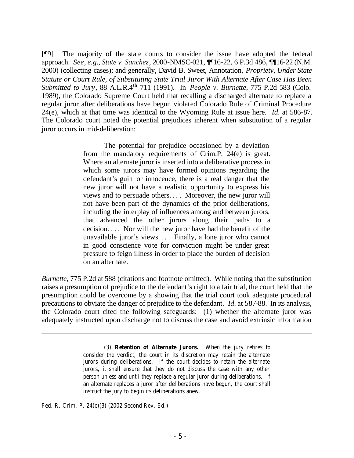[¶9] The majority of the state courts to consider the issue have adopted the federal approach. *See*, *e.g.*, *State v. Sanchez*, 2000-NMSC-021, ¶¶16-22, 6 P.3d 486, ¶¶16-22 (N.M. 2000) (collecting cases); and generally, David B. Sweet, Annotation, *Propriety, Under State Statute or Court Rule, of Substituting State Trial Juror With Alternate After Case Has Been Submitted to Jury*, 88 A.L.R.4th 711 (1991). In *People v. Burnette*, 775 P.2d 583 (Colo. 1989), the Colorado Supreme Court held that recalling a discharged alternate to replace a regular juror after deliberations have begun violated Colorado Rule of Criminal Procedure 24(e), which at that time was identical to the Wyoming Rule at issue here. *Id.* at 586-87. The Colorado court noted the potential prejudices inherent when substitution of a regular juror occurs in mid-deliberation:

> The potential for prejudice occasioned by a deviation from the mandatory requirements of Crim.P. 24(e) is great. Where an alternate juror is inserted into a deliberative process in which some jurors may have formed opinions regarding the defendant's guilt or innocence, there is a real danger that the new juror will not have a realistic opportunity to express his views and to persuade others. . . . Moreover, the new juror will not have been part of the dynamics of the prior deliberations, including the interplay of influences among and between jurors, that advanced the other jurors along their paths to a decision. . . . Nor will the new juror have had the benefit of the unavailable juror's views. . . . Finally, a lone juror who cannot in good conscience vote for conviction might be under great pressure to feign illness in order to place the burden of decision on an alternate.

*Burnette,* 775 P.2d at 588 (citations and footnote omitted). While noting that the substitution raises a presumption of prejudice to the defendant's right to a fair trial, the court held that the presumption could be overcome by a showing that the trial court took adequate procedural precautions to obviate the danger of prejudice to the defendant. *Id.* at 587-88. In its analysis, the Colorado court cited the following safeguards: (1) whether the alternate juror was adequately instructed upon discharge not to discuss the case and avoid extrinsic information

> (3) **Retention of Alternate Jurors.** When the jury retires to consider the verdict, the court in its discretion may retain the alternate jurors during deliberations. If the court decides to retain the alternate jurors, it shall ensure that they do not discuss the case with any other person unless and until they replace a regular juror during deliberations. If an alternate replaces a juror after deliberations have begun, the court shall instruct the jury to begin its deliberations anew.

Fed. R. Crim. P. 24(c)(3) (2002 Second Rev. Ed.).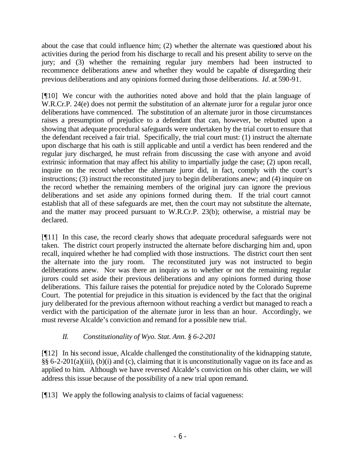about the case that could influence him; (2) whether the alternate was questioned about his activities during the period from his discharge to recall and his present ability to serve on the jury; and (3) whether the remaining regular jury members had been instructed to recommence deliberations anew and whether they would be capable of disregarding their previous deliberations and any opinions formed during those deliberations. *Id.* at 590-91.

[¶10] We concur with the authorities noted above and hold that the plain language of W.R.Cr.P. 24(e) does not permit the substitution of an alternate juror for a regular juror once deliberations have commenced. The substitution of an alternate juror in those circumstances raises a presumption of prejudice to a defendant that can, however, be rebutted upon a showing that adequate procedural safeguards were undertaken by the trial court to ensure that the defendant received a fair trial. Specifically, the trial court must: (1) instruct the alternate upon discharge that his oath is still applicable and until a verdict has been rendered and the regular jury discharged, he must refrain from discussing the case with anyone and avoid extrinsic information that may affect his ability to impartially judge the case; (2) upon recall, inquire on the record whether the alternate juror did, in fact, comply with the court's instructions; (3) instruct the reconstituted jury to begin deliberations anew; and (4) inquire on the record whether the remaining members of the original jury can ignore the previous deliberations and set aside any opinions formed during them. If the trial court cannot establish that all of these safeguards are met, then the court may not substitute the alternate, and the matter may proceed pursuant to W.R.Cr.P. 23(b); otherwise, a mistrial may be declared.

[¶11] In this case, the record clearly shows that adequate procedural safeguards were not taken. The district court properly instructed the alternate before discharging him and, upon recall, inquired whether he had complied with those instructions. The district court then sent the alternate into the jury room. The reconstituted jury was not instructed to begin deliberations anew. Nor was there an inquiry as to whether or not the remaining regular jurors could set aside their previous deliberations and any opinions formed during those deliberations. This failure raises the potential for prejudice noted by the Colorado Supreme Court. The potential for prejudice in this situation is evidenced by the fact that the original jury deliberated for the previous afternoon without reaching a verdict but managed to reach a verdict with the participation of the alternate juror in less than an hour. Accordingly, we must reverse Alcalde's conviction and remand for a possible new trial.

# *II. Constitutionality of Wyo. Stat. Ann. § 6-2-201*

[¶12] In his second issue, Alcalde challenged the constitutionality of the kidnapping statute, §§ 6-2-201(a)(iii), (b)(i) and (c), claiming that it is unconstitutionally vague on its face and as applied to him. Although we have reversed Alcalde's conviction on his other claim, we will address this issue because of the possibility of a new trial upon remand.

[¶13] We apply the following analysis to claims of facial vagueness: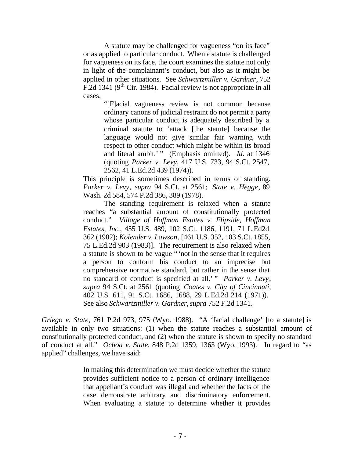A statute may be challenged for vagueness "on its face" or as applied to particular conduct. When a statute is challenged for vagueness on its face, the court examines the statute not only in light of the complainant's conduct, but also as it might be applied in other situations. See *Schwartzmiller v. Gardner*, 752 F.2d 1341 (9<sup>th</sup> Cir. 1984). Facial review is not appropriate in all cases.

> "[F]acial vagueness review is not common because ordinary canons of judicial restraint do not permit a party whose particular conduct is adequately described by a criminal statute to 'attack [the statute] because the language would not give similar fair warning with respect to other conduct which might be within its broad and literal ambit.' " (Emphasis omitted). *Id*. at 1346 (quoting *Parker v. Levy*, 417 U.S. 733, 94 S.Ct. 2547, 2562, 41 L.Ed.2d 439 (1974)).

This principle is sometimes described in terms of standing. *Parker v. Levy*, *supra* 94 S.Ct. at 2561; *State v. Hegge*, 89 Wash. 2d 584, 574 P.2d 386, 389 (1978).

The standing requirement is relaxed when a statute reaches "a substantial amount of constitutionally protected conduct." *Village of Hoffman Estates v. Flipside, Hoffman Estates, Inc.*, 455 U.S. 489, 102 S.Ct. 1186, 1191, 71 L.Ed2d 362 (1982); *Kolender v. Lawson*, [461 U.S. 352, 103 S.Ct. 1855, 75 L.Ed.2d 903 (1983)]. The requirement is also relaxed when a statute is shown to be vague "'not in the sense that it requires a person to conform his conduct to an imprecise but comprehensive normative standard, but rather in the sense that no standard of conduct is specified at all.' " *Parker v. Levy*, *supra* 94 S.Ct. at 2561 (quoting *Coates v. City of Cincinnati*, 402 U.S. 611, 91 S.Ct. 1686, 1688, 29 L.Ed.2d 214 (1971)). See also *Schwartzmiller v. Gardner*, *supra* 752 F.2d 1341.

*Griego v. State*, 761 P.2d 973, 975 (Wyo. 1988). "A 'facial challenge' [to a statute] is available in only two situations: (1) when the statute reaches a substantial amount of constitutionally protected conduct, and (2) when the statute is shown to specify no standard of conduct at all." *Ochoa v. State*, 848 P.2d 1359, 1363 (Wyo. 1993). In regard to "as applied" challenges, we have said:

> In making this determination we must decide whether the statute provides sufficient notice to a person of ordinary intelligence that appellant's conduct was illegal and whether the facts of the case demonstrate arbitrary and discriminatory enforcement. When evaluating a statute to determine whether it provides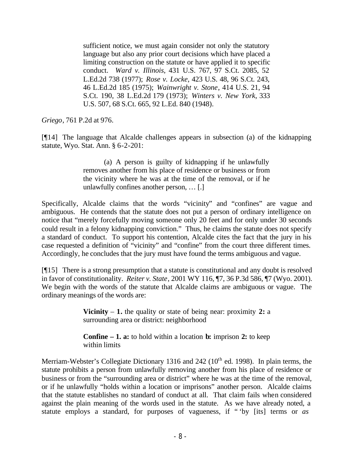sufficient notice, we must again consider not only the statutory language but also any prior court decisions which have placed a limiting construction on the statute or have applied it to specific conduct. *Ward v. Illinois*, 431 U.S. 767, 97 S.Ct. 2085, 52 L.Ed.2d 738 (1977); *Rose v. Locke*, 423 U.S. 48, 96 S.Ct. 243, 46 L.Ed.2d 185 (1975); *Wainwright v. Stone*, 414 U.S. 21, 94 S.Ct. 190, 38 L.Ed.2d 179 (1973); *Winters v. New York*, 333 U.S. 507, 68 S.Ct. 665, 92 L.Ed. 840 (1948).

*Griego*, 761 P.2d at 976.

[¶14] The language that Alcalde challenges appears in subsection (a) of the kidnapping statute, Wyo. Stat. Ann. § 6-2-201:

> (a) A person is guilty of kidnapping if he unlawfully removes another from his place of residence or business or from the vicinity where he was at the time of the removal, or if he unlawfully confines another person, … [.]

Specifically, Alcalde claims that the words "vicinity" and "confines" are vague and ambiguous. He contends that the statute does not put a person of ordinary intelligence on notice that "merely forcefully moving someone only 20 feet and for only under 30 seconds could result in a felony kidnapping conviction." Thus, he claims the statute does not specify a standard of conduct. To support his contention, Alcalde cites the fact that the jury in his case requested a definition of "vicinity" and "confine" from the court three different times. Accordingly, he concludes that the jury must have found the terms ambiguous and vague.

[¶15] There is a strong presumption that a statute is constitutional and any doubt is resolved in favor of constitutionality. *Reiter v. State*, 2001 WY 116, ¶7, 36 P.3d 586, ¶7 (Wyo. 2001). We begin with the words of the statute that Alcalde claims are ambiguous or vague. The ordinary meanings of the words are:

> **Vicinity** – **1.** the quality or state of being near: proximity **2:** a surrounding area or district: neighborhood

> **Confine – 1. a:** to hold within a location **b:** imprison **2:** to keep within limits

Merriam-Webster's Collegiate Dictionary 1316 and 242 (10<sup>th</sup> ed. 1998). In plain terms, the statute prohibits a person from unlawfully removing another from his place of residence or business or from the "surrounding area or district" where he was at the time of the removal, or if he unlawfully "holds within a location or imprisons" another person. Alcalde claims that the statute establishes no standard of conduct at all. That claim fails when considered against the plain meaning of the words used in the statute. As we have already noted, a statute employs a standard, for purposes of vagueness, if " 'by [its] terms or *as*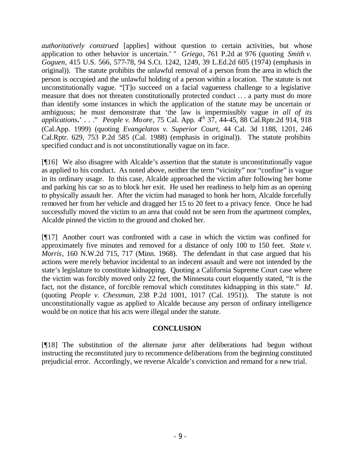*authoritatively construed* [applies] without question to certain activities, but whose application to other behavior is uncertain.' " *Griego*, 761 P.2d at 976 (quoting *Smith v. Goguen*, 415 U.S. 566, 577-78, 94 S.Ct. 1242, 1249, 39 L.Ed.2d 605 (1974) (emphasis in original)). The statute prohibits the unlawful removal of a person from the area in which the person is occupied and the unlawful holding of a person within a location. The statute is not unconstitutionally vague. "[T]o succeed on a facial vagueness challenge to a legislative measure that does not threaten constitutionally protected conduct .. . a party must do more than identify some instances in which the application of the statute may be uncertain or ambiguous; he must demonstrate that 'the law is impermissibly vague *in all of its applications.*' . . ." *People v. Moore*, 75 Cal. App. 4th 37, 44-45, 88 Cal.Rptr.2d 914, 918 (Cal.App. 1999) (quoting *Evangelatos v. Superior Court*, 44 Cal. 3d 1188, 1201, 246 Cal.Rptr. 629, 753 P.2d 585 (Cal. 1988) (emphasis in original)). The statute prohibits specified conduct and is not unconstitutionally vague on its face.

[¶16] We also disagree with Alcalde's assertion that the statute is unconstitutionally vague as applied to his conduct. As noted above, neither the term "vicinity" nor "confine" is vague in its ordinary usage. In this case, Alcalde approached the victim after following her home and parking his car so as to block her exit. He used her readiness to help him as an opening to physically assault her. After the victim had managed to honk her horn, Alcalde forcefully removed her from her vehicle and dragged her 15 to 20 feet to a privacy fence. Once he had successfully moved the victim to an area that could not be seen from the apartment complex, Alcalde pinned the victim to the ground and choked her.

[¶17] Another court was confronted with a case in which the victim was confined for approximately five minutes and removed for a distance of only 100 to 150 feet. *State v. Morris*, 160 N.W.2d 715, 717 (Minn. 1968). The defendant in that case argued that his actions were merely behavior incidental to an indecent assault and were not intended by the state's legislature to constitute kidnapping. Quoting a California Supreme Court case where the victim was forcibly moved only 22 feet, the Minnesota court eloquently stated, "It is the fact, not the distance, of forcible removal which constitutes kidnapping in this state." *Id*. (quoting *People v. Chessman,* 238 P.2d 1001, 1017 (Cal. 1951)). The statute is not unconstitutionally vague as applied to Alcalde because any person of ordinary intelligence would be on notice that his acts were illegal under the statute.

## **CONCLUSION**

[¶18] The substitution of the alternate juror after deliberations had begun without instructing the reconstituted jury to recommence deliberations from the beginning constituted prejudicial error. Accordingly, we reverse Alcalde's conviction and remand for a new trial.